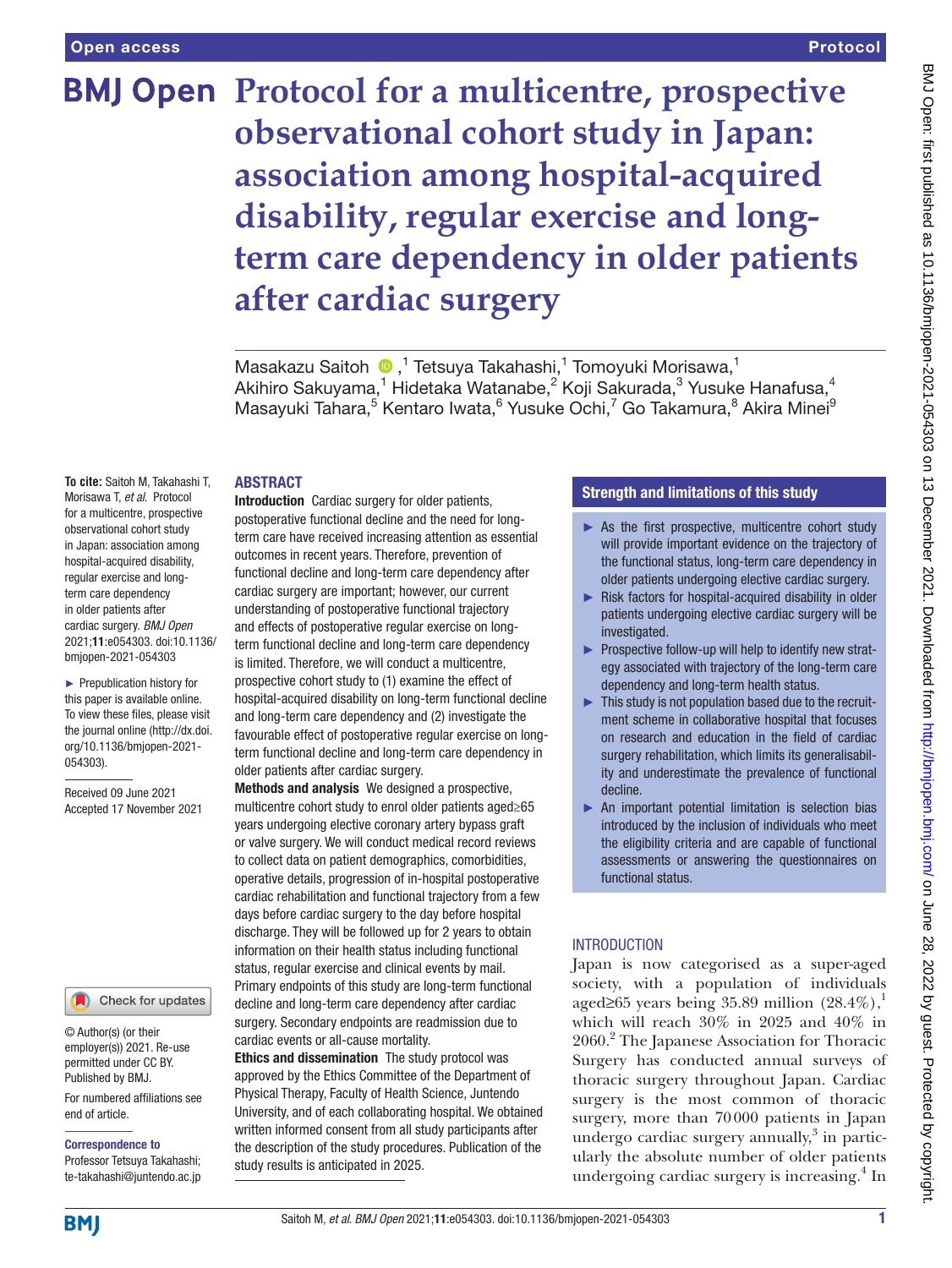#### Protocol

# **BMJ Open** Protocol for a multicentre, prospective **observational cohort study in Japan: association among hospital-acquired disability, regular exercise and longterm care dependency in older patients after cardiac surgery**

MasakazuSaitoh <sup>n 1</sup> Tetsuya Takahashi,<sup>1</sup> Tomoyuki Morisawa,<sup>1</sup> Akihiro Sakuyama, $^1$  Hidetaka Watanabe, $^2$  Koji Sakurada, $^3$  Yusuke Hanafusa, $^4$ Masayuki Tahara,<sup>5</sup> Kentaro Iwata,<sup>6</sup> Yusuke Ochi,<sup>7</sup> Go Takamura,<sup>8</sup> Akira Minei<sup>9</sup>

#### ABSTRACT

**To cite:** Saitoh M, Takahashi T, Morisawa T, *et al*. Protocol for a multicentre, prospective observational cohort study in Japan: association among hospital-acquired disability, regular exercise and longterm care dependency in older patients after cardiac surgery. *BMJ Open* 2021;11:e054303. doi:10.1136/ bmjopen-2021-054303

► Prepublication history for this paper is available online. To view these files, please visit the journal online [\(http://dx.doi.](http://dx.doi.org/10.1136/bmjopen-2021-054303) [org/10.1136/bmjopen-2021-](http://dx.doi.org/10.1136/bmjopen-2021-054303) [054303\)](http://dx.doi.org/10.1136/bmjopen-2021-054303).

Received 09 June 2021 Accepted 17 November 2021

### Check for updates

© Author(s) (or their employer(s)) 2021. Re-use permitted under CC BY. Published by BMJ.

For numbered affiliations see end of article.

#### Correspondence to

Professor Tetsuya Takahashi; te-takahashi@juntendo.ac.jp

postoperative functional decline and the need for longterm care have received increasing attention as essential outcomes in recent years. Therefore, prevention of functional decline and long-term care dependency after cardiac surgery are important; however, our current understanding of postoperative functional trajectory and effects of postoperative regular exercise on longterm functional decline and long-term care dependency is limited. Therefore, we will conduct a multicentre, prospective cohort study to (1) examine the effect of hospital-acquired disability on long-term functional decline and long-term care dependency and (2) investigate the favourable effect of postoperative regular exercise on longterm functional decline and long-term care dependency in older patients after cardiac surgery.

Introduction Cardiac surgery for older patients,

Methods and analysis We designed a prospective, multicentre cohort study to enrol older patients aged≥65 years undergoing elective coronary artery bypass graft or valve surgery. We will conduct medical record reviews to collect data on patient demographics, comorbidities, operative details, progression of in-hospital postoperative cardiac rehabilitation and functional trajectory from a few days before cardiac surgery to the day before hospital discharge. They will be followed up for 2 years to obtain information on their health status including functional status, regular exercise and clinical events by mail. Primary endpoints of this study are long-term functional decline and long-term care dependency after cardiac surgery. Secondary endpoints are readmission due to cardiac events or all-cause mortality.

Ethics and dissemination The study protocol was approved by the Ethics Committee of the Department of Physical Therapy, Faculty of Health Science, Juntendo University, and of each collaborating hospital. We obtained written informed consent from all study participants after the description of the study procedures. Publication of the study results is anticipated in 2025.

## Strength and limitations of this study

- $\triangleright$  As the first prospective, multicentre cohort study will provide important evidence on the trajectory of the functional status, long-term care dependency in older patients undergoing elective cardiac surgery.
- ► Risk factors for hospital-acquired disability in older patients undergoing elective cardiac surgery will be investigated.
- ► Prospective follow-up will help to identify new strategy associated with trajectory of the long-term care dependency and long-term health status.
- ► This study is not population based due to the recruitment scheme in collaborative hospital that focuses on research and education in the field of cardiac surgery rehabilitation, which limits its generalisability and underestimate the prevalence of functional decline.
- ► An important potential limitation is selection bias introduced by the inclusion of individuals who meet the eligibility criteria and are capable of functional assessments or answering the questionnaires on functional status.

## **INTRODUCTION**

Japan is now categorised as a super-aged society, with a population of individuals aged≥65 years being 35.89 million  $(28.4\%)$ , which will reach 30% in 2025 and 40% in [2](#page-4-1)060.<sup>2</sup> The Japanese Association for Thoracic Surgery has conducted annual surveys of thoracic surgery throughout Japan. Cardiac surgery is the most common of thoracic surgery, more than 70000 patients in Japan undergo cardiac surgery annually, $3$  in particularly the absolute number of older patients undergoing cardiac surgery is increasing.<sup>[4](#page-4-3)</sup> In

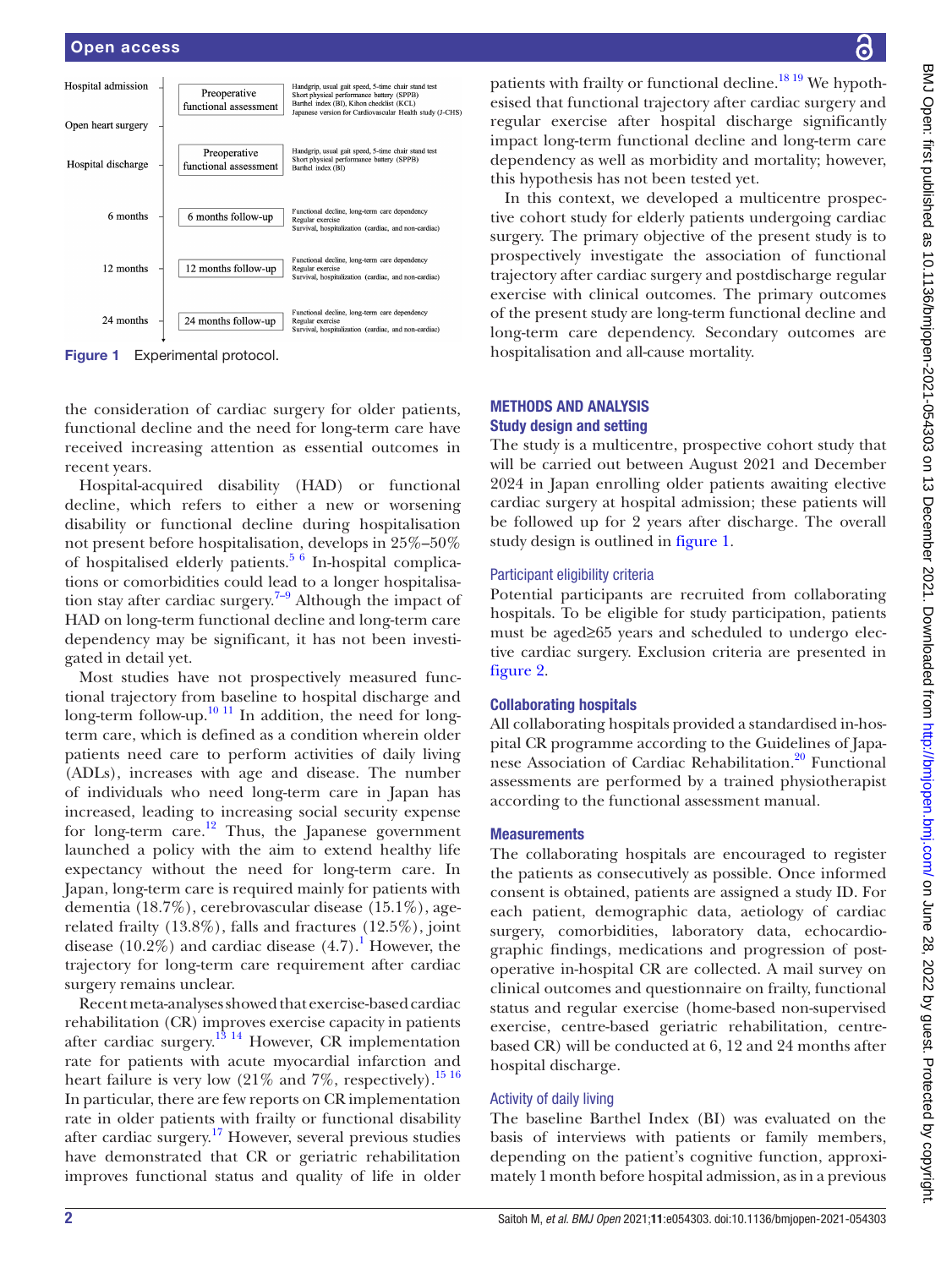## Open access



<span id="page-1-0"></span>Figure 1 Experimental protocol.

the consideration of cardiac surgery for older patients, functional decline and the need for long-term care have received increasing attention as essential outcomes in recent years.

Hospital-acquired disability (HAD) or functional decline, which refers to either a new or worsening disability or functional decline during hospitalisation not present before hospitalisation, develops in 25%–50% of hospitalised elderly patients.<sup>5 6</sup> In-hospital complications or comorbidities could lead to a longer hospitalisation stay after cardiac surgery.<sup>7-9</sup> Although the impact of HAD on long-term functional decline and long-term care dependency may be significant, it has not been investigated in detail yet.

Most studies have not prospectively measured functional trajectory from baseline to hospital discharge and long-term follow-up.<sup>[10 11](#page-5-2)</sup> In addition, the need for longterm care, which is defined as a condition wherein older patients need care to perform activities of daily living (ADLs), increases with age and disease. The number of individuals who need long-term care in Japan has increased, leading to increasing social security expense for long-term care.<sup>[12](#page-5-3)</sup> Thus, the Japanese government launched a policy with the aim to extend healthy life expectancy without the need for long-term care. In Japan, long-term care is required mainly for patients with dementia (18.7%), cerebrovascular disease (15.1%), agerelated frailty (13.8%), falls and fractures (12.5%), joint disease  $(10.2\%)$  $(10.2\%)$  $(10.2\%)$  and cardiac disease  $(4.7)$ . However, the trajectory for long-term care requirement after cardiac surgery remains unclear.

Recent meta-analyses showed that exercise-based cardiac rehabilitation (CR) improves exercise capacity in patients after cardiac surgery.<sup>[13 14](#page-5-4)</sup> However, CR implementation rate for patients with acute myocardial infarction and heart failure is very low  $(21\%$  and  $7\%$ , respectively).<sup>[15 16](#page-5-5)</sup> In particular, there are few reports on CR implementation rate in older patients with frailty or functional disability after cardiac surgery.<sup>[17](#page-5-6)</sup> However, several previous studies have demonstrated that CR or geriatric rehabilitation improves functional status and quality of life in older

patients with frailty or functional decline.<sup>18 19</sup> We hypothesised that functional trajectory after cardiac surgery and regular exercise after hospital discharge significantly impact long-term functional decline and long-term care dependency as well as morbidity and mortality; however, this hypothesis has not been tested yet.

In this context, we developed a multicentre prospective cohort study for elderly patients undergoing cardiac surgery. The primary objective of the present study is to prospectively investigate the association of functional trajectory after cardiac surgery and postdischarge regular exercise with clinical outcomes. The primary outcomes of the present study are long-term functional decline and long-term care dependency. Secondary outcomes are hospitalisation and all-cause mortality.

## METHODS AND ANALYSIS Study design and setting

The study is a multicentre, prospective cohort study that will be carried out between August 2021 and December 2024 in Japan enrolling older patients awaiting elective cardiac surgery at hospital admission; these patients will be followed up for 2 years after discharge. The overall study design is outlined in [figure](#page-1-0) 1.

## Participant eligibility criteria

Potential participants are recruited from collaborating hospitals. To be eligible for study participation, patients must be aged≥65 years and scheduled to undergo elective cardiac surgery. Exclusion criteria are presented in [figure](#page-2-0) 2.

## Collaborating hospitals

All collaborating hospitals provided a standardised in-hospital CR programme according to the Guidelines of Japanese Association of Cardiac Rehabilitation.<sup>20</sup> Functional assessments are performed by a trained physiotherapist according to the functional assessment manual.

## **Measurements**

The collaborating hospitals are encouraged to register the patients as consecutively as possible. Once informed consent is obtained, patients are assigned a study ID. For each patient, demographic data, aetiology of cardiac surgery, comorbidities, laboratory data, echocardiographic findings, medications and progression of postoperative in-hospital CR are collected. A mail survey on clinical outcomes and questionnaire on frailty, functional status and regular exercise (home-based non-supervised exercise, centre-based geriatric rehabilitation, centrebased CR) will be conducted at 6, 12 and 24 months after hospital discharge.

## Activity of daily living

The baseline Barthel Index (BI) was evaluated on the basis of interviews with patients or family members, depending on the patient's cognitive function, approximately 1month before hospital admission, as in a previous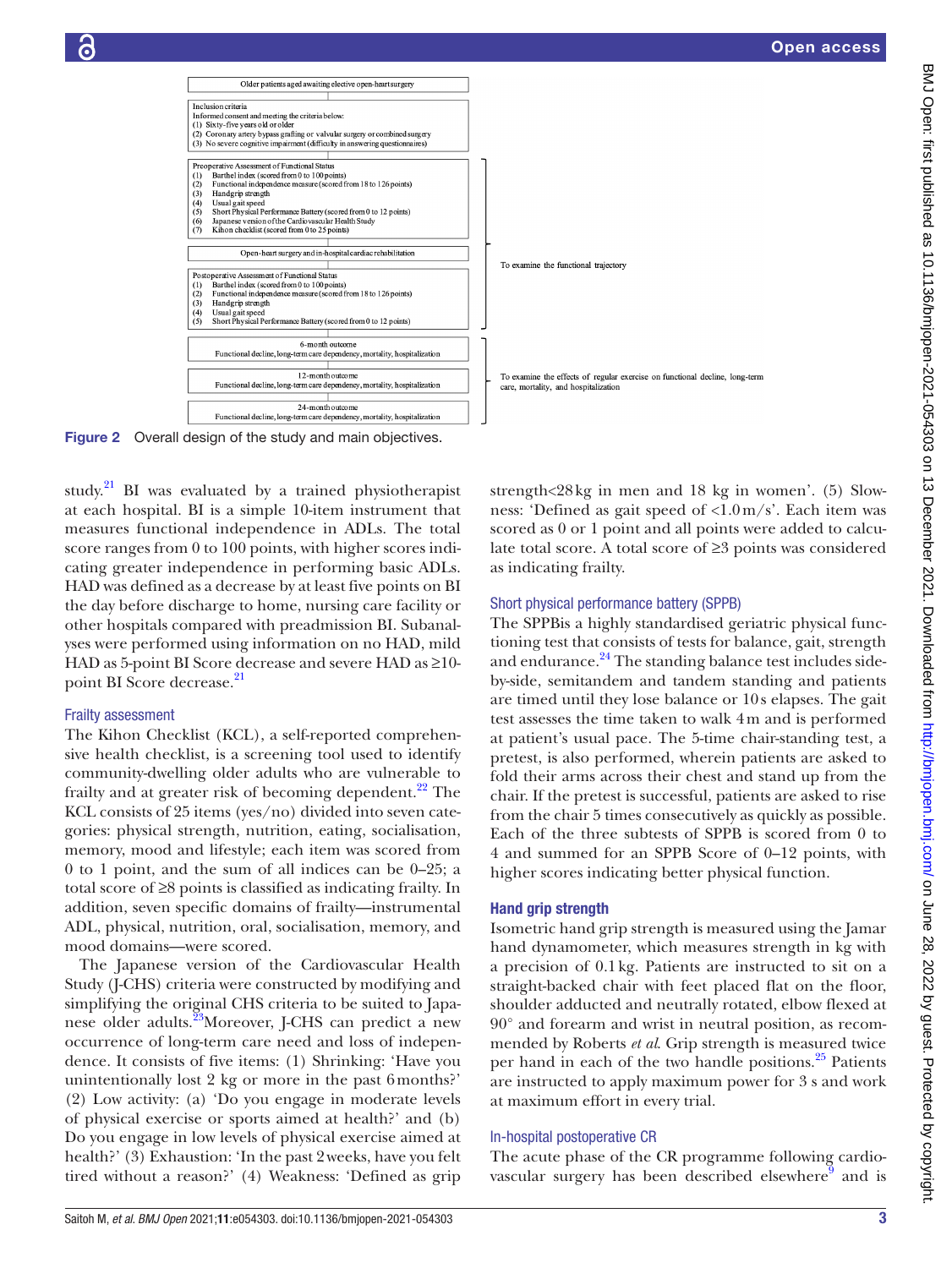

BMJ Open: first published as 10.1136/bmjopen-2021-054303 on 13 December 2021. Downloaded from http://bmjopen.bmj.com/ on June 28, 2022 by guest. Protected by copyright BMJ Open: first published as 10.1136/bmjopen-2021-054303 on 13 December 2021. Downloaded from <http://bmjopen.bmj.com/> on June 28, 2022 by guest. Protected by copyright.



Figure 2 Overall design of the study and main objectives.

study.<sup>21</sup> BI was evaluated by a trained physiotherapist at each hospital. BI is a simple 10-item instrument that measures functional independence in ADLs. The total score ranges from 0 to 100 points, with higher scores indicating greater independence in performing basic ADLs. HAD was defined as a decrease by at least five points on BI the day before discharge to home, nursing care facility or other hospitals compared with preadmission BI. Subanalyses were performed using information on no HAD, mild HAD as 5-point BI Score decrease and severe HAD as ≥10 point BI Score decrease.<sup>21</sup>

#### Frailty assessment

The Kihon Checklist (KCL), a self-reported comprehensive health checklist, is a screening tool used to identify community-dwelling older adults who are vulnerable to frailty and at greater risk of becoming dependent.<sup>22</sup> The KCL consists of 25 items (yes/no) divided into seven categories: physical strength, nutrition, eating, socialisation, memory, mood and lifestyle; each item was scored from 0 to 1 point, and the sum of all indices can be 0–25; a total score of ≥8 points is classified as indicating frailty. In addition, seven specific domains of frailty—instrumental ADL, physical, nutrition, oral, socialisation, memory, and mood domains—were scored.

The Japanese version of the Cardiovascular Health Study (J-CHS) criteria were constructed by modifying and simplifying the original CHS criteria to be suited to Japanese older adults.<sup>23</sup>Moreover, J-CHS can predict a new occurrence of long-term care need and loss of independence. It consists of five items: (1) Shrinking: 'Have you unintentionally lost 2 kg or more in the past 6months?' (2) Low activity: (a) 'Do you engage in moderate levels of physical exercise or sports aimed at health?' and (b) Do you engage in low levels of physical exercise aimed at health?' (3) Exhaustion: 'In the past 2 weeks, have you felt tired without a reason?' (4) Weakness: 'Defined as grip

<span id="page-2-0"></span>strength<28kg in men and 18 kg in women'. (5) Slowness: 'Defined as gait speed of <1.0m/s'. Each item was scored as 0 or 1 point and all points were added to calculate total score. A total score of ≥3 points was considered as indicating frailty.

#### Short physical performance battery (SPPB)

The SPPBis a highly standardised geriatric physical functioning test that consists of tests for balance, gait, strength and endurance.<sup>[24](#page-5-12)</sup> The standing balance test includes sideby-side, semitandem and tandem standing and patients are timed until they lose balance or 10s elapses. The gait test assesses the time taken to walk 4m and is performed at patient's usual pace. The 5-time chair-standing test, a pretest, is also performed, wherein patients are asked to fold their arms across their chest and stand up from the chair. If the pretest is successful, patients are asked to rise from the chair 5 times consecutively as quickly as possible. Each of the three subtests of SPPB is scored from 0 to 4 and summed for an SPPB Score of 0–12 points, with higher scores indicating better physical function.

#### Hand grip strength

Isometric hand grip strength is measured using the Jamar hand dynamometer, which measures strength in kg with a precision of 0.1kg. Patients are instructed to sit on a straight-backed chair with feet placed flat on the floor, shoulder adducted and neutrally rotated, elbow flexed at 90° and forearm and wrist in neutral position, as recommended by Roberts *et al*. Grip strength is measured twice per hand in each of the two handle positions.<sup>[25](#page-5-13)</sup> Patients are instructed to apply maximum power for 3 s and work at maximum effort in every trial.

#### In-hospital postoperative CR

The acute phase of the CR programme following cardiovascular surgery has been described elsewhere $\overline{9}$  $\overline{9}$  $\overline{9}$  and is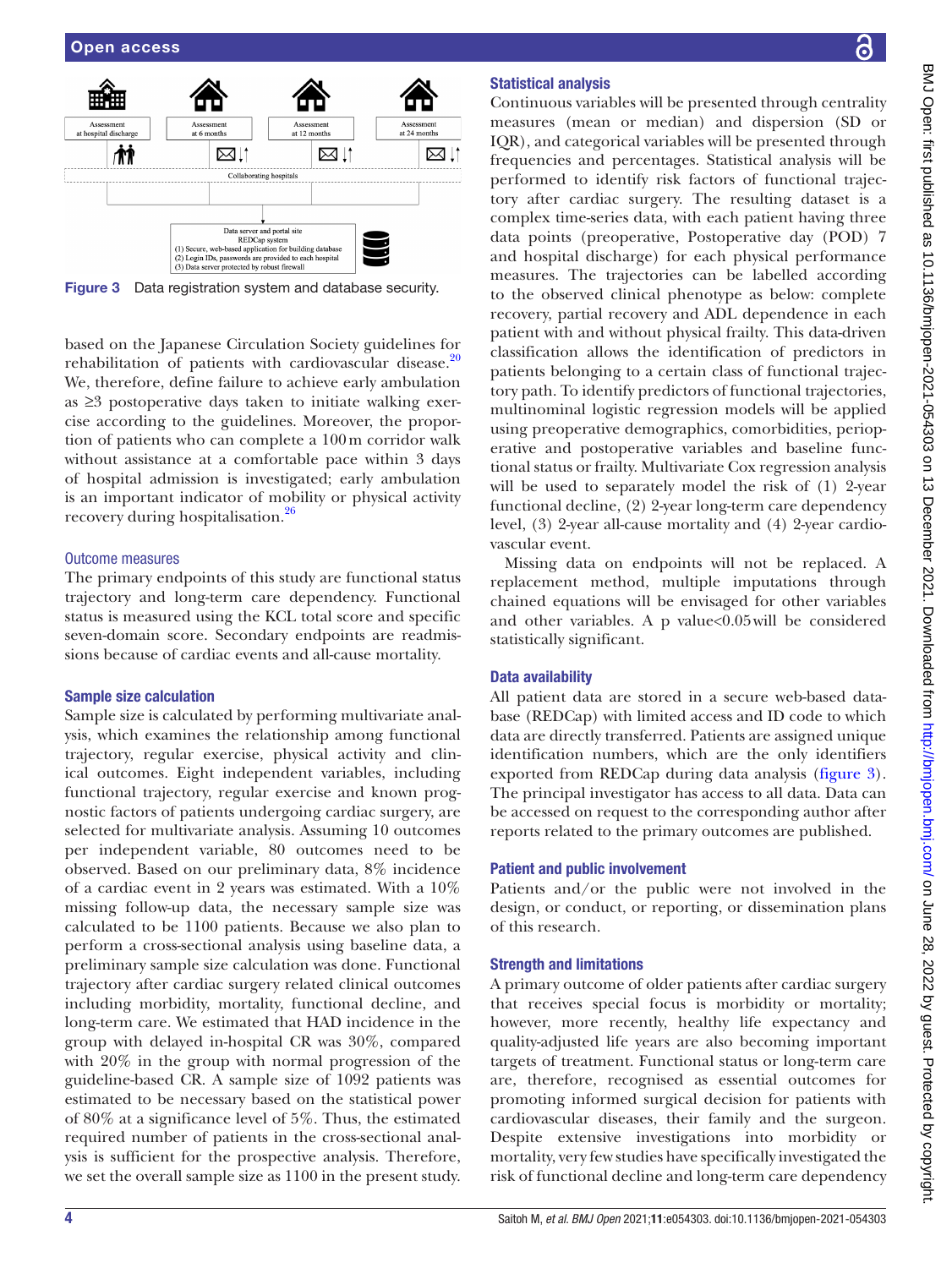

<span id="page-3-0"></span>Figure 3 Data registration system and database security.

based on the Japanese Circulation Society guidelines for rehabilitation of patients with cardiovascular disease. $20$ We, therefore, define failure to achieve early ambulation as ≥3 postoperative days taken to initiate walking exercise according to the guidelines. Moreover, the proportion of patients who can complete a 100m corridor walk without assistance at a comfortable pace within 3 days of hospital admission is investigated; early ambulation is an important indicator of mobility or physical activity recovery during hospitalisation.<sup>26</sup>

#### Outcome measures

The primary endpoints of this study are functional status trajectory and long-term care dependency. Functional status is measured using the KCL total score and specific seven-domain score. Secondary endpoints are readmissions because of cardiac events and all-cause mortality.

#### Sample size calculation

Sample size is calculated by performing multivariate analysis, which examines the relationship among functional trajectory, regular exercise, physical activity and clinical outcomes. Eight independent variables, including functional trajectory, regular exercise and known prognostic factors of patients undergoing cardiac surgery, are selected for multivariate analysis. Assuming 10 outcomes per independent variable, 80 outcomes need to be observed. Based on our preliminary data, 8% incidence of a cardiac event in 2 years was estimated. With a 10% missing follow-up data, the necessary sample size was calculated to be 1100 patients. Because we also plan to perform a cross-sectional analysis using baseline data, a preliminary sample size calculation was done. Functional trajectory after cardiac surgery related clinical outcomes including morbidity, mortality, functional decline, and long-term care. We estimated that HAD incidence in the group with delayed in-hospital CR was 30%, compared with 20% in the group with normal progression of the guideline-based CR. A sample size of 1092 patients was estimated to be necessary based on the statistical power of 80% at a significance level of 5%. Thus, the estimated required number of patients in the cross-sectional analysis is sufficient for the prospective analysis. Therefore, we set the overall sample size as 1100 in the present study.

## Statistical analysis

Continuous variables will be presented through centrality measures (mean or median) and dispersion (SD or IQR), and categorical variables will be presented through frequencies and percentages. Statistical analysis will be performed to identify risk factors of functional trajectory after cardiac surgery. The resulting dataset is a complex time-series data, with each patient having three data points (preoperative, Postoperative day (POD) 7 and hospital discharge) for each physical performance measures. The trajectories can be labelled according to the observed clinical phenotype as below: complete recovery, partial recovery and ADL dependence in each patient with and without physical frailty. This data-driven classification allows the identification of predictors in patients belonging to a certain class of functional trajectory path. To identify predictors of functional trajectories, multinominal logistic regression models will be applied using preoperative demographics, comorbidities, perioperative and postoperative variables and baseline functional status or frailty. Multivariate Cox regression analysis will be used to separately model the risk of (1) 2-year functional decline, (2) 2-year long-term care dependency level, (3) 2-year all-cause mortality and (4) 2-year cardiovascular event.

Missing data on endpoints will not be replaced. A replacement method, multiple imputations through chained equations will be envisaged for other variables and other variables. A  $p$  value< $0.05$  will be considered statistically significant.

#### Data availability

All patient data are stored in a secure web-based database (REDCap) with limited access and ID code to which data are directly transferred. Patients are assigned unique identification numbers, which are the only identifiers exported from REDCap during data analysis ([figure](#page-3-0) 3). The principal investigator has access to all data. Data can be accessed on request to the corresponding author after reports related to the primary outcomes are published.

#### Patient and public involvement

Patients and/or the public were not involved in the design, or conduct, or reporting, or dissemination plans of this research.

#### Strength and limitations

A primary outcome of older patients after cardiac surgery that receives special focus is morbidity or mortality; however, more recently, healthy life expectancy and quality-adjusted life years are also becoming important targets of treatment. Functional status or long-term care are, therefore, recognised as essential outcomes for promoting informed surgical decision for patients with cardiovascular diseases, their family and the surgeon. Despite extensive investigations into morbidity or mortality, very few studies have specifically investigated the risk of functional decline and long-term care dependency

႕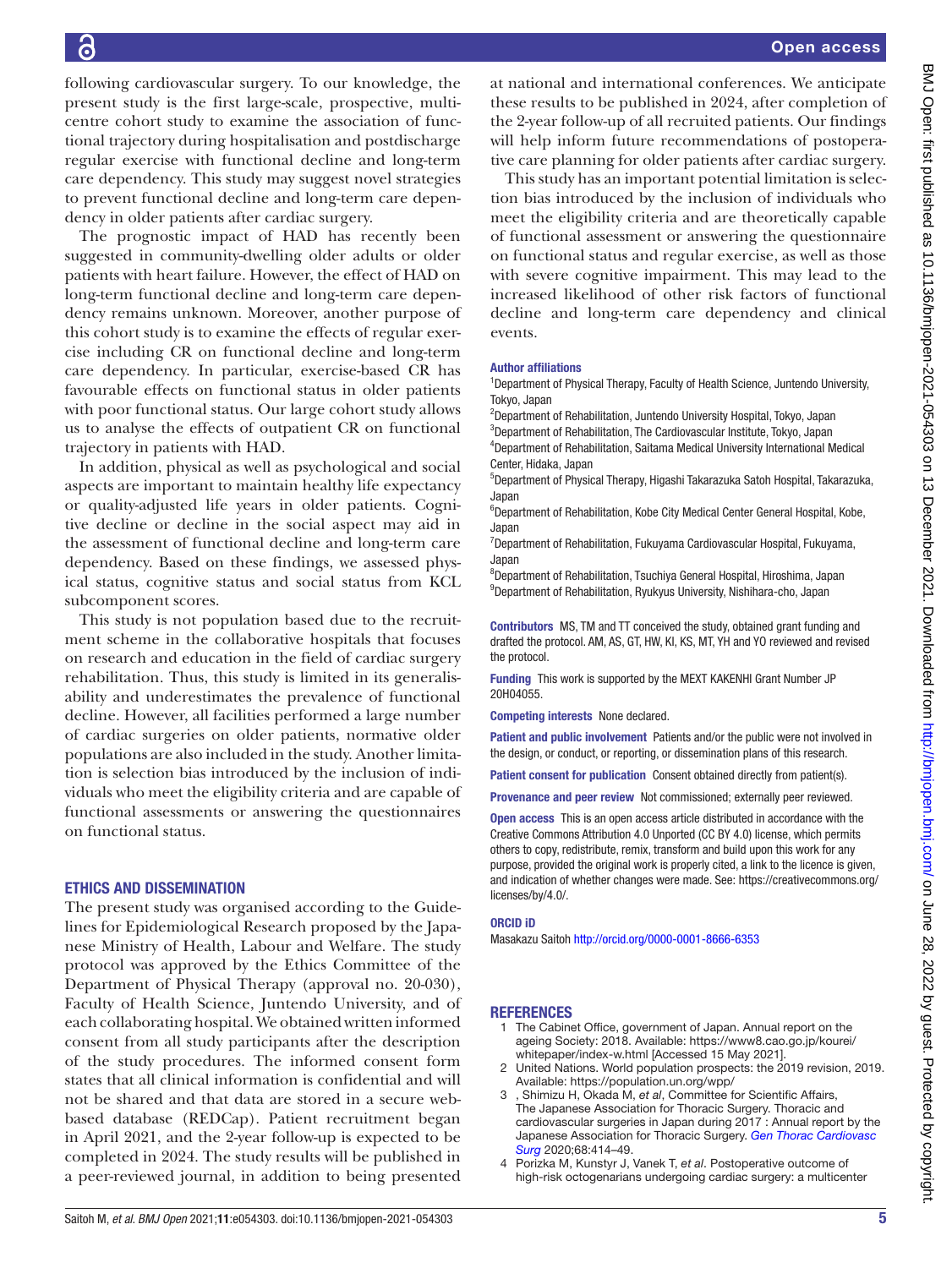following cardiovascular surgery. To our knowledge, the present study is the first large-scale, prospective, multicentre cohort study to examine the association of functional trajectory during hospitalisation and postdischarge regular exercise with functional decline and long-term care dependency. This study may suggest novel strategies to prevent functional decline and long-term care dependency in older patients after cardiac surgery.

The prognostic impact of HAD has recently been suggested in community-dwelling older adults or older patients with heart failure. However, the effect of HAD on long-term functional decline and long-term care dependency remains unknown. Moreover, another purpose of this cohort study is to examine the effects of regular exercise including CR on functional decline and long-term care dependency. In particular, exercise-based CR has favourable effects on functional status in older patients with poor functional status. Our large cohort study allows us to analyse the effects of outpatient CR on functional trajectory in patients with HAD.

In addition, physical as well as psychological and social aspects are important to maintain healthy life expectancy or quality-adjusted life years in older patients. Cognitive decline or decline in the social aspect may aid in the assessment of functional decline and long-term care dependency. Based on these findings, we assessed physical status, cognitive status and social status from KCL subcomponent scores.

This study is not population based due to the recruitment scheme in the collaborative hospitals that focuses on research and education in the field of cardiac surgery rehabilitation. Thus, this study is limited in its generalisability and underestimates the prevalence of functional decline. However, all facilities performed a large number of cardiac surgeries on older patients, normative older populations are also included in the study. Another limitation is selection bias introduced by the inclusion of individuals who meet the eligibility criteria and are capable of functional assessments or answering the questionnaires on functional status.

## ETHICS AND DISSEMINATION

The present study was organised according to the Guidelines for Epidemiological Research proposed by the Japanese Ministry of Health, Labour and Welfare. The study protocol was approved by the Ethics Committee of the Department of Physical Therapy (approval no. 20-030), Faculty of Health Science, Juntendo University, and of each collaborating hospital. We obtained written informed consent from all study participants after the description of the study procedures. The informed consent form states that all clinical information is confidential and will not be shared and that data are stored in a secure webbased database (REDCap). Patient recruitment began in April 2021, and the 2-year follow-up is expected to be completed in 2024. The study results will be published in a peer-reviewed journal, in addition to being presented

at national and international conferences. We anticipate these results to be published in 2024, after completion of the 2-year follow-up of all recruited patients. Our findings will help inform future recommendations of postoperative care planning for older patients after cardiac surgery.

This study has an important potential limitation is selection bias introduced by the inclusion of individuals who meet the eligibility criteria and are theoretically capable of functional assessment or answering the questionnaire on functional status and regular exercise, as well as those with severe cognitive impairment. This may lead to the increased likelihood of other risk factors of functional decline and long-term care dependency and clinical events.

#### Author affiliations

<sup>1</sup>Department of Physical Therapy, Faculty of Health Science, Juntendo University, Tokyo, Japan

<sup>2</sup>Department of Rehabilitation, Juntendo University Hospital, Tokyo, Japan <sup>3</sup>Department of Rehabilitation, The Cardiovascular Institute, Tokyo, Japan 4 Department of Rehabilitation, Saitama Medical University International Medical Center, Hidaka, Japan

5 Department of Physical Therapy, Higashi Takarazuka Satoh Hospital, Takarazuka, Japan

<sup>6</sup>Department of Rehabilitation, Kobe City Medical Center General Hospital, Kobe, Japan

<sup>7</sup>Department of Rehabilitation, Fukuyama Cardiovascular Hospital, Fukuyama, Japan

8 Department of Rehabilitation, Tsuchiya General Hospital, Hiroshima, Japan 9 Department of Rehabilitation, Ryukyus University, Nishihara-cho, Japan

Contributors MS, TM and TT conceived the study, obtained grant funding and drafted the protocol. AM, AS, GT, HW, KI, KS, MT, YH and YO reviewed and revised the protocol.

Funding This work is supported by the MEXT KAKENHI Grant Number JP 20H04055.

Competing interests None declared.

Patient and public involvement Patients and/or the public were not involved in the design, or conduct, or reporting, or dissemination plans of this research.

Patient consent for publication Consent obtained directly from patient(s).

Provenance and peer review Not commissioned; externally peer reviewed.

Open access This is an open access article distributed in accordance with the Creative Commons Attribution 4.0 Unported (CC BY 4.0) license, which permits others to copy, redistribute, remix, transform and build upon this work for any purpose, provided the original work is properly cited, a link to the licence is given, and indication of whether changes were made. See: [https://creativecommons.org/](https://creativecommons.org/licenses/by/4.0/) [licenses/by/4.0/](https://creativecommons.org/licenses/by/4.0/).

#### ORCID iD

Masakazu Saitoh<http://orcid.org/0000-0001-8666-6353>

### **REFERENCES**

- <span id="page-4-0"></span>1 The Cabinet Office, government of Japan. Annual report on the ageing Society: 2018. Available: [https://www8.cao.go.jp/kourei/](https://www8.cao.go.jp/kourei/whitepaper/index-w.html) [whitepaper/index-w.html](https://www8.cao.go.jp/kourei/whitepaper/index-w.html) [Accessed 15 May 2021].
- <span id="page-4-1"></span>2 United Nations. World population prospects: the 2019 revision, 2019. Available:<https://population.un.org/wpp/>
- <span id="page-4-2"></span>3 , Shimizu H, Okada M, *et al*, Committee for Scientific Affairs, The Japanese Association for Thoracic Surgery. Thoracic and cardiovascular surgeries in Japan during 2017 : Annual report by the Japanese Association for Thoracic Surgery. *[Gen Thorac Cardiovasc](http://dx.doi.org/10.1007/s11748-020-01298-2)  [Surg](http://dx.doi.org/10.1007/s11748-020-01298-2)* 2020;68:414–49.
- <span id="page-4-3"></span>4 Porizka M, Kunstyr J, Vanek T, *et al*. Postoperative outcome of high-risk octogenarians undergoing cardiac surgery: a multicenter